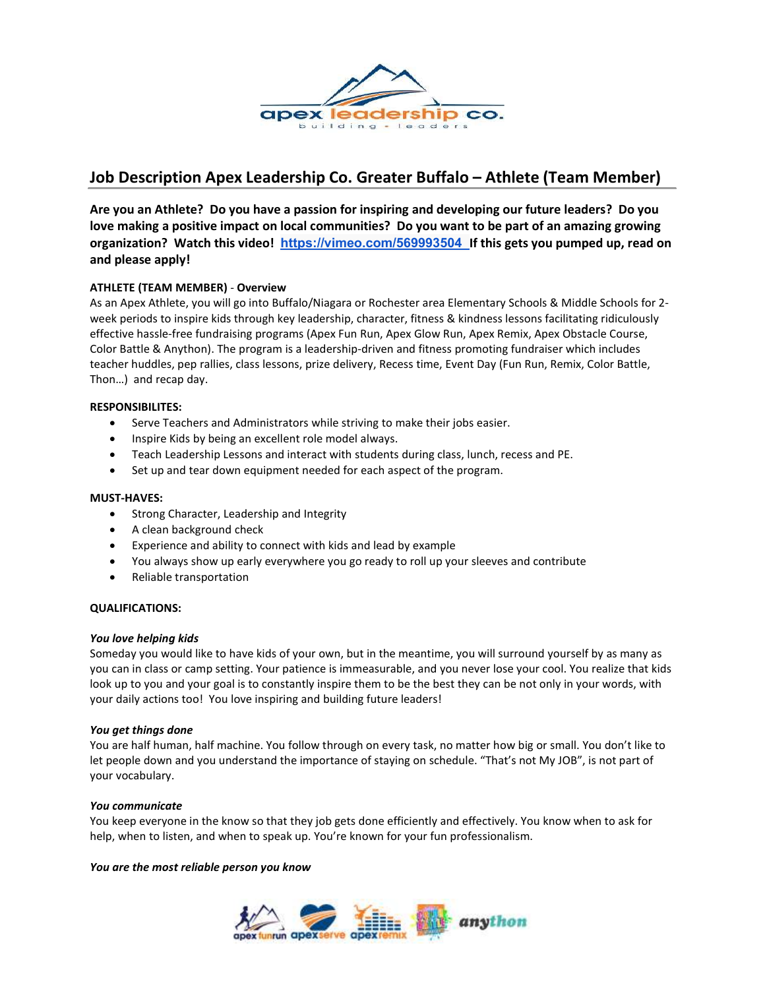

# Job Description Apex Leadership Co. Greater Buffalo – Athlete (Team Member)

Are you an Athlete? Do you have a passion for inspiring and developing our future leaders? Do you love making a positive impact on local communities? Do you want to be part of an amazing growing organization? Watch this video! https://vimeo.com/569993504 If this gets you pumped up, read on and please apply!

# ATHLETE (TEAM MEMBER) - Overview

As an Apex Athlete, you will go into Buffalo/Niagara or Rochester area Elementary Schools & Middle Schools for 2 week periods to inspire kids through key leadership, character, fitness & kindness lessons facilitating ridiculously effective hassle-free fundraising programs (Apex Fun Run, Apex Glow Run, Apex Remix, Apex Obstacle Course, Color Battle & Anython). The program is a leadership-driven and fitness promoting fundraiser which includes teacher huddles, pep rallies, class lessons, prize delivery, Recess time, Event Day (Fun Run, Remix, Color Battle, Thon…) and recap day.

### RESPONSIBILITES:

- Serve Teachers and Administrators while striving to make their jobs easier.
- Inspire Kids by being an excellent role model always.
- Teach Leadership Lessons and interact with students during class, lunch, recess and PE.
- Set up and tear down equipment needed for each aspect of the program.

#### MUST-HAVES:

- Strong Character, Leadership and Integrity
- A clean background check
- Experience and ability to connect with kids and lead by example
- You always show up early everywhere you go ready to roll up your sleeves and contribute
- Reliable transportation

#### QUALIFICATIONS:

#### You love helping kids

Someday you would like to have kids of your own, but in the meantime, you will surround yourself by as many as you can in class or camp setting. Your patience is immeasurable, and you never lose your cool. You realize that kids look up to you and your goal is to constantly inspire them to be the best they can be not only in your words, with your daily actions too! You love inspiring and building future leaders!

#### You get things done

You are half human, half machine. You follow through on every task, no matter how big or small. You don't like to let people down and you understand the importance of staying on schedule. "That's not My JOB", is not part of your vocabulary.

#### You communicate

You keep everyone in the know so that they job gets done efficiently and effectively. You know when to ask for help, when to listen, and when to speak up. You're known for your fun professionalism.

## You are the most reliable person you know

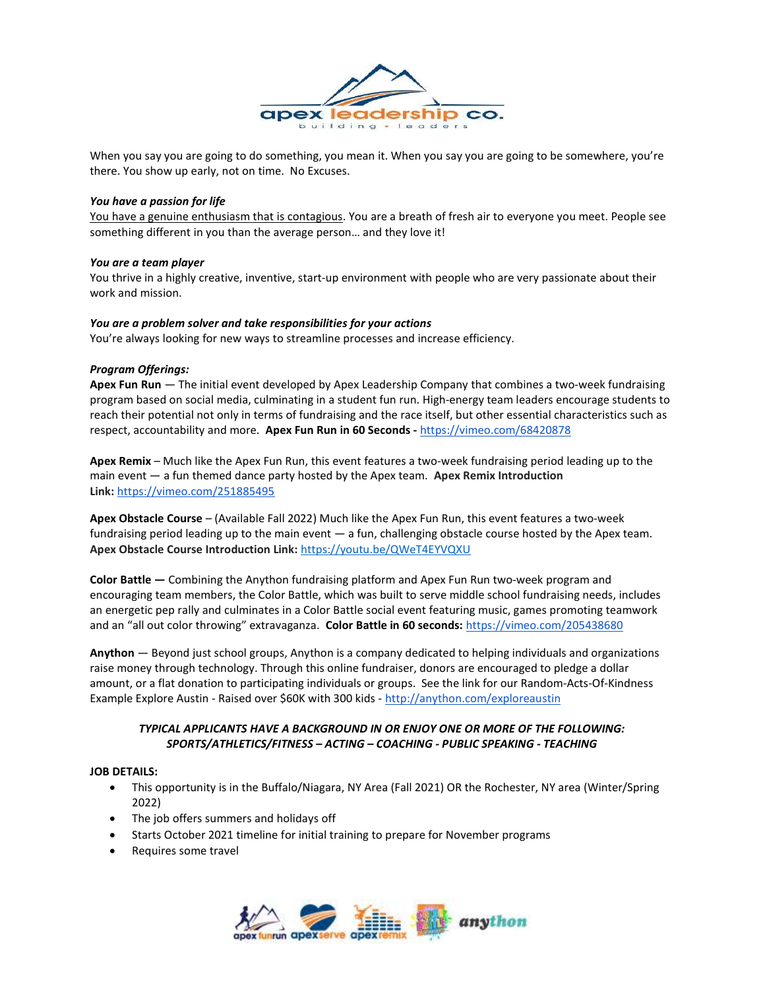

When you say you are going to do something, you mean it. When you say you are going to be somewhere, you're there. You show up early, not on time. No Excuses.

#### You have a passion for life

You have a genuine enthusiasm that is contagious. You are a breath of fresh air to everyone you meet. People see something different in you than the average person… and they love it!

#### You are a team player

You thrive in a highly creative, inventive, start-up environment with people who are very passionate about their work and mission.

#### You are a problem solver and take responsibilities for your actions

You're always looking for new ways to streamline processes and increase efficiency.

#### Program Offerings:

Apex Fun Run - The initial event developed by Apex Leadership Company that combines a two-week fundraising program based on social media, culminating in a student fun run. High-energy team leaders encourage students to reach their potential not only in terms of fundraising and the race itself, but other essential characteristics such as respect, accountability and more. Apex Fun Run in 60 Seconds - https://vimeo.com/68420878

Apex Remix – Much like the Apex Fun Run, this event features a two-week fundraising period leading up to the main event  $-$  a fun themed dance party hosted by the Apex team. Apex Remix Introduction Link: https://vimeo.com/251885495

Apex Obstacle Course – (Available Fall 2022) Much like the Apex Fun Run, this event features a two-week fundraising period leading up to the main event — a fun, challenging obstacle course hosted by the Apex team. Apex Obstacle Course Introduction Link: https://youtu.be/QWeT4EYVQXU

Color Battle — Combining the Anython fundraising platform and Apex Fun Run two-week program and encouraging team members, the Color Battle, which was built to serve middle school fundraising needs, includes an energetic pep rally and culminates in a Color Battle social event featuring music, games promoting teamwork and an "all out color throwing" extravaganza. Color Battle in 60 seconds: https://vimeo.com/205438680

Anython — Beyond just school groups, Anython is a company dedicated to helping individuals and organizations raise money through technology. Through this online fundraiser, donors are encouraged to pledge a dollar amount, or a flat donation to participating individuals or groups. See the link for our Random-Acts-Of-Kindness Example Explore Austin - Raised over \$60K with 300 kids - http://anython.com/exploreaustin

## TYPICAL APPLICANTS HAVE A BACKGROUND IN OR ENJOY ONE OR MORE OF THE FOLLOWING: SPORTS/ATHLETICS/FITNESS – ACTING – COACHING - PUBLIC SPEAKING - TEACHING

#### JOB DETAILS:

- This opportunity is in the Buffalo/Niagara, NY Area (Fall 2021) OR the Rochester, NY area (Winter/Spring 2022)
- The job offers summers and holidays off
- Starts October 2021 timeline for initial training to prepare for November programs
- Requires some travel